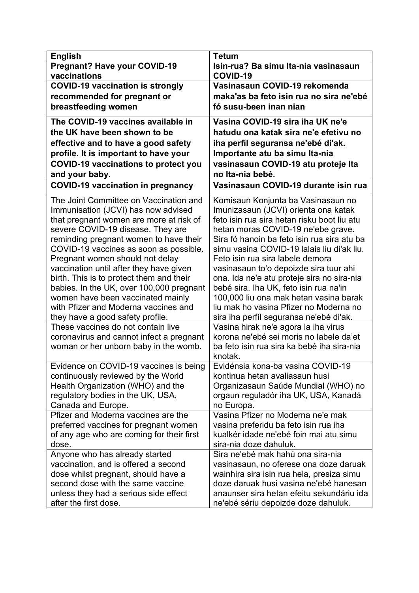| <b>English</b>                                                             | <b>Tetum</b>                                                                    |
|----------------------------------------------------------------------------|---------------------------------------------------------------------------------|
| <b>Pregnant? Have your COVID-19</b>                                        | Isin-rua? Ba simu Ita-nia vasinasaun                                            |
| vaccinations                                                               | COVID-19                                                                        |
| <b>COVID-19 vaccination is strongly</b>                                    | Vasinasaun COVID-19 rekomenda                                                   |
| recommended for pregnant or                                                | maka'as ba feto isin rua no sira ne'ebé                                         |
| breastfeeding women                                                        | fó susu-been inan nian                                                          |
| The COVID-19 vaccines available in                                         | Vasina COVID-19 sira iha UK ne'e                                                |
| the UK have been shown to be                                               | hatudu ona katak sira ne'e efetivu no                                           |
| effective and to have a good safety                                        | iha perfíl seguransa ne'ebé di'ak.                                              |
| profile. It is important to have your                                      | Importante atu ba simu Ita-nia                                                  |
| <b>COVID-19 vaccinations to protect you</b>                                | vasinasaun COVID-19 atu proteje Ita                                             |
| and your baby.                                                             | no Ita-nia bebé.                                                                |
| <b>COVID-19 vaccination in pregnancy</b>                                   | Vasinasaun COVID-19 durante isin rua                                            |
| The Joint Committee on Vaccination and                                     | Komisaun Konjunta ba Vasinasaun no                                              |
| Immunisation (JCVI) has now advised                                        | Imunizasaun (JCVI) orienta ona katak                                            |
| that pregnant women are more at risk of                                    | feto isin rua sira hetan risku boot liu atu                                     |
| severe COVID-19 disease. They are                                          | hetan moras COVID-19 ne'ebe grave.                                              |
| reminding pregnant women to have their                                     | Sira fó hanoin ba feto isin rua sira atu ba                                     |
| COVID-19 vaccines as soon as possible.                                     | simu vasina COVID-19 lalais liu di'ak liu.                                      |
| Pregnant women should not delay<br>vaccination until after they have given | Feto isin rua sira labele demora<br>vasinasaun to'o depoizde sira tuur ahi      |
| birth. This is to protect them and their                                   | ona. Ida ne'e atu proteje sira no sira-nia                                      |
| babies. In the UK, over 100,000 pregnant                                   | bebé sira. Iha UK, feto isin rua na'in                                          |
| women have been vaccinated mainly                                          | 100,000 liu ona mak hetan vasina barak                                          |
| with Pfizer and Moderna vaccines and                                       | liu mak ho vasina Pfizer no Moderna no                                          |
| they have a good safety profile.                                           | sira iha perfíl seguransa ne'ebé di'ak.                                         |
| These vaccines do not contain live                                         | Vasina hirak ne'e agora la iha virus                                            |
| coronavirus and cannot infect a pregnant                                   | korona ne'ebé sei moris no labele da'et                                         |
| woman or her unborn baby in the womb.                                      | ba feto isin rua sira ka bebé iha sira-nia                                      |
|                                                                            | knotak.                                                                         |
| Evidence on COVID-19 vaccines is being                                     | Evidénsia kona-ba vasina COVID-19                                               |
| continuously reviewed by the World                                         | kontinua hetan avaliasaun husi                                                  |
| Health Organization (WHO) and the                                          | Organizasaun Saúde Mundial (WHO) no                                             |
| regulatory bodies in the UK, USA,                                          | orgaun reguladór iha UK, USA, Kanadá                                            |
| Canada and Europe.                                                         | no Europa.                                                                      |
| Pfizer and Moderna vaccines are the                                        | Vasina Pfizer no Moderna ne'e mak                                               |
| preferred vaccines for pregnant women                                      | vasina preferidu ba feto isin rua iha<br>kualkér idade ne'ebé foin mai atu simu |
| of any age who are coming for their first<br>dose.                         | sira-nia doze dahuluk.                                                          |
| Anyone who has already started                                             | Sira ne'ebé mak hahú ona sira-nia                                               |
| vaccination, and is offered a second                                       | vasinasaun, no oferese ona doze daruak                                          |
| dose whilst pregnant, should have a                                        | wainhira sira isin rua hela, presiza simu                                       |
| second dose with the same vaccine                                          | doze daruak husi vasina ne'ebé hanesan                                          |
| unless they had a serious side effect                                      | anaunser sira hetan efeitu sekundáriu ida                                       |
| after the first dose.                                                      | ne'ebé sériu depoizde doze dahuluk.                                             |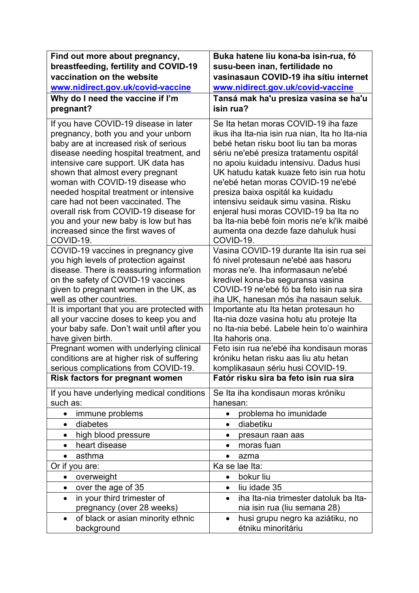| Find out more about pregnancy,                                                                                                                                                                                                                                                                                                                                                                                                                                                                     | Buka hatene liu kona-ba isin-rua, fó                                                                                                                                                                                                                                                                                                                                                                                                                                                                                            |
|----------------------------------------------------------------------------------------------------------------------------------------------------------------------------------------------------------------------------------------------------------------------------------------------------------------------------------------------------------------------------------------------------------------------------------------------------------------------------------------------------|---------------------------------------------------------------------------------------------------------------------------------------------------------------------------------------------------------------------------------------------------------------------------------------------------------------------------------------------------------------------------------------------------------------------------------------------------------------------------------------------------------------------------------|
| breastfeeding, fertility and COVID-19                                                                                                                                                                                                                                                                                                                                                                                                                                                              | susu-been inan, fertilidade no                                                                                                                                                                                                                                                                                                                                                                                                                                                                                                  |
| vaccination on the website                                                                                                                                                                                                                                                                                                                                                                                                                                                                         | vasinasaun COVID-19 iha sitiu internet                                                                                                                                                                                                                                                                                                                                                                                                                                                                                          |
| www.nidirect.gov.uk/covid-vaccine                                                                                                                                                                                                                                                                                                                                                                                                                                                                  | www.nidirect.gov.uk/covid-vaccine                                                                                                                                                                                                                                                                                                                                                                                                                                                                                               |
| Why do I need the vaccine if I'm                                                                                                                                                                                                                                                                                                                                                                                                                                                                   | Tansá mak ha'u presiza vasina se ha'u                                                                                                                                                                                                                                                                                                                                                                                                                                                                                           |
| pregnant?                                                                                                                                                                                                                                                                                                                                                                                                                                                                                          | isin rua?                                                                                                                                                                                                                                                                                                                                                                                                                                                                                                                       |
| If you have COVID-19 disease in later<br>pregnancy, both you and your unborn<br>baby are at increased risk of serious<br>disease needing hospital treatment, and<br>intensive care support. UK data has<br>shown that almost every pregnant<br>woman with COVID-19 disease who<br>needed hospital treatment or intensive<br>care had not been vaccinated. The<br>overall risk from COVID-19 disease for<br>you and your new baby is low but has<br>increased since the first waves of<br>COVID-19. | Se Ita hetan moras COVID-19 iha faze<br>ikus iha Ita-nia isin rua nian, Ita ho Ita-nia<br>bebé hetan risku boot liu tan ba moras<br>sériu ne'ebé presiza tratamentu ospitál<br>no apoiu kuidadu intensivu. Dadus husi<br>UK hatudu katak kuaze feto isin rua hotu<br>ne'ebé hetan moras COVID-19 ne'ebé<br>presiza baixa ospitál ka kuidadu<br>intensivu seidauk simu vasina. Risku<br>enjeral husi moras COVID-19 ba Ita no<br>ba Ita-nia bebé foin moris ne'e ki'ik maibé<br>aumenta ona dezde faze dahuluk husi<br>COVID-19. |
| COVID-19 vaccines in pregnancy give<br>you high levels of protection against<br>disease. There is reassuring information<br>on the safety of COVID-19 vaccines<br>given to pregnant women in the UK, as<br>well as other countries.                                                                                                                                                                                                                                                                | Vasina COVID-19 durante Ita isin rua sei<br>fó nivel protesaun ne'ebé aas hasoru<br>moras ne'e. Iha informasaun ne'ebé<br>kredivel kona-ba seguransa vasina<br>COVID-19 ne'ebé fó ba feto isin rua sira<br>iha UK, hanesan mós iha nasaun seluk.                                                                                                                                                                                                                                                                                |
| It is important that you are protected with<br>all your vaccine doses to keep you and<br>your baby safe. Don't wait until after you                                                                                                                                                                                                                                                                                                                                                                | Importante atu Ita hetan protesaun ho<br>Ita-nia doze vasina hotu atu proteje Ita<br>no Ita-nia bebé. Labele hein to'o wainhira                                                                                                                                                                                                                                                                                                                                                                                                 |
| have given birth.                                                                                                                                                                                                                                                                                                                                                                                                                                                                                  | Ita hahoris ona.                                                                                                                                                                                                                                                                                                                                                                                                                                                                                                                |
| Pregnant women with underlying clinical<br>conditions are at higher risk of suffering<br>serious complications from COVID-19.                                                                                                                                                                                                                                                                                                                                                                      | Feto isin rua ne'ebé iha kondisaun moras<br>króniku hetan risku aas liu atu hetan<br>komplikasaun sériu husi COVID-19.                                                                                                                                                                                                                                                                                                                                                                                                          |
| <b>Risk factors for pregnant women</b>                                                                                                                                                                                                                                                                                                                                                                                                                                                             | Fatór risku sira ba feto isin rua sira                                                                                                                                                                                                                                                                                                                                                                                                                                                                                          |
| If you have underlying medical conditions<br>such as:                                                                                                                                                                                                                                                                                                                                                                                                                                              | Se Ita iha kondisaun moras króniku<br>hanesan:                                                                                                                                                                                                                                                                                                                                                                                                                                                                                  |
| immune problems                                                                                                                                                                                                                                                                                                                                                                                                                                                                                    | problema ho imunidade                                                                                                                                                                                                                                                                                                                                                                                                                                                                                                           |
| diabetes<br>$\bullet$                                                                                                                                                                                                                                                                                                                                                                                                                                                                              | diabetiku<br>$\bullet$                                                                                                                                                                                                                                                                                                                                                                                                                                                                                                          |
| high blood pressure<br>$\bullet$                                                                                                                                                                                                                                                                                                                                                                                                                                                                   | presaun raan aas<br>٠                                                                                                                                                                                                                                                                                                                                                                                                                                                                                                           |
| heart disease<br>$\bullet$                                                                                                                                                                                                                                                                                                                                                                                                                                                                         | moras fuan<br>$\bullet$                                                                                                                                                                                                                                                                                                                                                                                                                                                                                                         |
| asthma                                                                                                                                                                                                                                                                                                                                                                                                                                                                                             | azma<br>$\bullet$                                                                                                                                                                                                                                                                                                                                                                                                                                                                                                               |
| Or if you are:                                                                                                                                                                                                                                                                                                                                                                                                                                                                                     | Ka se lae Ita:                                                                                                                                                                                                                                                                                                                                                                                                                                                                                                                  |
| overweight                                                                                                                                                                                                                                                                                                                                                                                                                                                                                         | bokur liu<br>$\bullet$                                                                                                                                                                                                                                                                                                                                                                                                                                                                                                          |
| over the age of 35<br>$\bullet$                                                                                                                                                                                                                                                                                                                                                                                                                                                                    | liu idade 35<br>$\bullet$                                                                                                                                                                                                                                                                                                                                                                                                                                                                                                       |
| in your third trimester of<br>$\bullet$<br>pregnancy (over 28 weeks)                                                                                                                                                                                                                                                                                                                                                                                                                               | iha Ita-nia trimester datoluk ba Ita-<br>nia isin rua (liu semana 28)                                                                                                                                                                                                                                                                                                                                                                                                                                                           |
| of black or asian minority ethnic<br>$\bullet$                                                                                                                                                                                                                                                                                                                                                                                                                                                     | husi grupu negro ka aziátiku, no<br>$\bullet$                                                                                                                                                                                                                                                                                                                                                                                                                                                                                   |
| background                                                                                                                                                                                                                                                                                                                                                                                                                                                                                         | étniku minoritáriu                                                                                                                                                                                                                                                                                                                                                                                                                                                                                                              |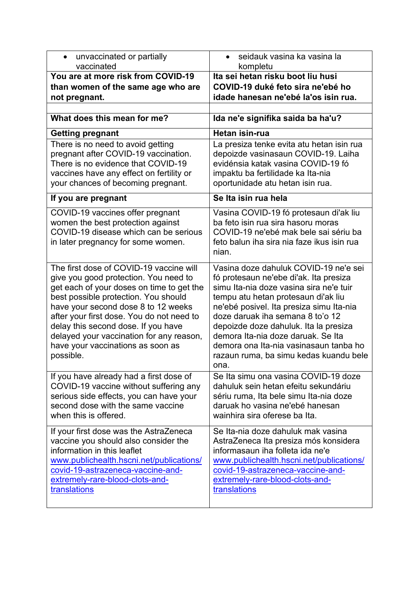| unvaccinated or partially<br>$\bullet$<br>vaccinated                                                                                                                                                                                                                                                                                                                                           | seidauk vasina ka vasina la<br>kompletu                                                                                                                                                                                                                                                                                                                                                                                      |
|------------------------------------------------------------------------------------------------------------------------------------------------------------------------------------------------------------------------------------------------------------------------------------------------------------------------------------------------------------------------------------------------|------------------------------------------------------------------------------------------------------------------------------------------------------------------------------------------------------------------------------------------------------------------------------------------------------------------------------------------------------------------------------------------------------------------------------|
| You are at more risk from COVID-19<br>than women of the same age who are<br>not pregnant.                                                                                                                                                                                                                                                                                                      | Ita sei hetan risku boot liu husi<br>COVID-19 duké feto sira ne'ebé ho<br>idade hanesan ne'ebé la'os isin rua.                                                                                                                                                                                                                                                                                                               |
| What does this mean for me?                                                                                                                                                                                                                                                                                                                                                                    | Ida ne'e signifika saida ba ha'u?                                                                                                                                                                                                                                                                                                                                                                                            |
| <b>Getting pregnant</b>                                                                                                                                                                                                                                                                                                                                                                        | Hetan isin-rua                                                                                                                                                                                                                                                                                                                                                                                                               |
| There is no need to avoid getting<br>pregnant after COVID-19 vaccination.<br>There is no evidence that COVID-19<br>vaccines have any effect on fertility or<br>your chances of becoming pregnant.                                                                                                                                                                                              | La presiza tenke evita atu hetan isin rua<br>depoizde vasinasaun COVID-19. Laiha<br>evidénsia katak vasina COVID-19 fó<br>impaktu ba fertilidade ka Ita-nia<br>oportunidade atu hetan isin rua.                                                                                                                                                                                                                              |
| If you are pregnant                                                                                                                                                                                                                                                                                                                                                                            | Se Ita isin rua hela                                                                                                                                                                                                                                                                                                                                                                                                         |
| COVID-19 vaccines offer pregnant<br>women the best protection against<br>COVID-19 disease which can be serious<br>in later pregnancy for some women.                                                                                                                                                                                                                                           | Vasina COVID-19 fó protesaun di'ak liu<br>ba feto isin rua sira hasoru moras<br>COVID-19 ne'ebé mak bele sai sériu ba<br>feto balun iha sira nia faze ikus isin rua<br>nian.                                                                                                                                                                                                                                                 |
| The first dose of COVID-19 vaccine will<br>give you good protection. You need to<br>get each of your doses on time to get the<br>best possible protection. You should<br>have your second dose 8 to 12 weeks<br>after your first dose. You do not need to<br>delay this second dose. If you have<br>delayed your vaccination for any reason,<br>have your vaccinations as soon as<br>possible. | Vasina doze dahuluk COVID-19 ne'e sei<br>fó protesaun ne'ebe di'ak. Ita presiza<br>simu Ita-nia doze vasina sira ne'e tuir<br>tempu atu hetan protesaun di'ak liu<br>ne'ebé posivel. Ita presiza simu Ita-nia<br>doze daruak iha semana 8 to'o 12<br>depoizde doze dahuluk. Ita la presiza<br>demora Ita-nia doze daruak. Se Ita<br>demora ona Ita-nia vasinasaun tanba ho<br>razaun ruma, ba simu kedas kuandu bele<br>ona. |
| If you have already had a first dose of<br>COVID-19 vaccine without suffering any<br>serious side effects, you can have your<br>second dose with the same vaccine<br>when this is offered.                                                                                                                                                                                                     | Se Ita simu ona vasina COVID-19 doze<br>dahuluk sein hetan efeitu sekundáriu<br>sériu ruma, Ita bele simu Ita-nia doze<br>daruak ho vasina ne'ebé hanesan<br>wainhira sira oferese ba Ita.                                                                                                                                                                                                                                   |
| If your first dose was the AstraZeneca<br>vaccine you should also consider the<br>information in this leaflet<br>www.publichealth.hscni.net/publications/<br>covid-19-astrazeneca-vaccine-and-<br>extremely-rare-blood-clots-and-<br>translations                                                                                                                                              | Se Ita-nia doze dahuluk mak vasina<br>AstraZeneca Ita presiza mós konsidera<br>informasaun iha folleta ida ne'e<br>www.publichealth.hscni.net/publications/<br>covid-19-astrazeneca-vaccine-and-<br>extremely-rare-blood-clots-and-<br>translations                                                                                                                                                                          |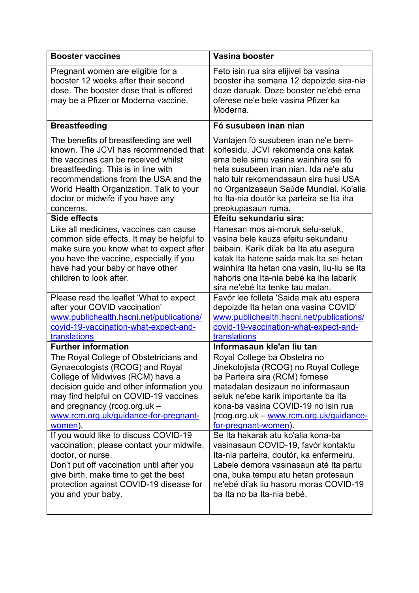| <b>Booster vaccines</b>                                                                                                                                                                                                                                                                                                                                                                           | Vasina booster                                                                                                                                                                                                                                                                                                                                                                                                          |
|---------------------------------------------------------------------------------------------------------------------------------------------------------------------------------------------------------------------------------------------------------------------------------------------------------------------------------------------------------------------------------------------------|-------------------------------------------------------------------------------------------------------------------------------------------------------------------------------------------------------------------------------------------------------------------------------------------------------------------------------------------------------------------------------------------------------------------------|
| Pregnant women are eligible for a<br>booster 12 weeks after their second<br>dose. The booster dose that is offered<br>may be a Pfizer or Moderna vaccine.                                                                                                                                                                                                                                         | Feto isin rua sira elijivel ba vasina<br>booster iha semana 12 depoizde sira-nia<br>doze daruak. Doze booster ne'ebé ema<br>oferese ne'e bele vasina Pfizer ka<br>Moderna.                                                                                                                                                                                                                                              |
| <b>Breastfeeding</b>                                                                                                                                                                                                                                                                                                                                                                              | Fó susubeen inan nian                                                                                                                                                                                                                                                                                                                                                                                                   |
| The benefits of breastfeeding are well<br>known. The JCVI has recommended that<br>the vaccines can be received whilst<br>breastfeeding. This is in line with<br>recommendations from the USA and the<br>World Health Organization. Talk to your<br>doctor or midwife if you have any<br>concerns.                                                                                                 | Vantajen fó susubeen inan ne'e bem-<br>koñesidu. JCVI rekomenda ona katak<br>ema bele simu vasina wainhira sei fó<br>hela susubeen inan nian. Ida ne'e atu<br>halo tuir rekomendasaun sira husi USA<br>no Organizasaun Saúde Mundial. Ko'alia<br>ho Ita-nia doutór ka parteira se Ita iha<br>preokupasaun ruma.                                                                                                         |
| Side effects                                                                                                                                                                                                                                                                                                                                                                                      | Efeitu sekundariu sira:                                                                                                                                                                                                                                                                                                                                                                                                 |
| Like all medicines, vaccines can cause<br>common side effects. It may be helpful to<br>make sure you know what to expect after<br>you have the vaccine, especially if you<br>have had your baby or have other<br>children to look after.                                                                                                                                                          | Hanesan mos ai-moruk selu-seluk,<br>vasina bele kauza efeitu sekundariu<br>baibain. Karik di'ak ba Ita atu asegura<br>katak Ita hatene saida mak Ita sei hetan<br>wainhira Ita hetan ona vasin, liu-liu se Ita<br>hahoris ona Ita-nia bebé ka iha labarik<br>sira ne'ebé Ita tenke tau matan.                                                                                                                           |
| Please read the leaflet 'What to expect                                                                                                                                                                                                                                                                                                                                                           | Favór lee folleta 'Saida mak atu espera                                                                                                                                                                                                                                                                                                                                                                                 |
| after your COVID vaccination'<br>www.publichealth.hscni.net/publications/<br>covid-19-vaccination-what-expect-and-<br>translations                                                                                                                                                                                                                                                                | depoizde Ita hetan ona vasina COVID'<br>www.publichealth.hscni.net/publications/<br>covid-19-vaccination-what-expect-and-<br>translations                                                                                                                                                                                                                                                                               |
| <b>Further information</b>                                                                                                                                                                                                                                                                                                                                                                        | Informasaun kle'an liu tan                                                                                                                                                                                                                                                                                                                                                                                              |
| The Royal College of Obstetricians and<br>Gynaecologists (RCOG) and Royal<br>College of Midwives (RCM) have a<br>decision guide and other information you<br>may find helpful on COVID-19 vaccines<br>and pregnancy (rcog.org.uk -<br>www.rcm.org.uk/guidance-for-pregnant-<br>women).<br>If you would like to discuss COVID-19<br>vaccination, please contact your midwife,<br>doctor, or nurse. | Royal College ba Obstetra no<br>Jinekolojista (RCOG) no Royal College<br>ba Parteira sira (RCM) fornese<br>matadalan desizaun no informasaun<br>seluk ne'ebe karik importante ba Ita<br>kona-ba vasina COVID-19 no isin rua<br>(rcog.org.uk - www.rcm.org.uk/guidance-<br>for-pregnant-women).<br>Se Ita hakarak atu ko'alia kona-ba<br>vasinasaun COVID-19, favór kontaktu<br>Ita-nia parteira, doutór, ka enfermeiru. |
| Don't put off vaccination until after you<br>give birth, make time to get the best<br>protection against COVID-19 disease for<br>you and your baby.                                                                                                                                                                                                                                               | Labele demora vasinasaun até Ita partu<br>ona, buka tempu atu hetan protesaun<br>ne'ebé di'ak liu hasoru moras COVID-19<br>ba Ita no ba Ita-nia bebé.                                                                                                                                                                                                                                                                   |